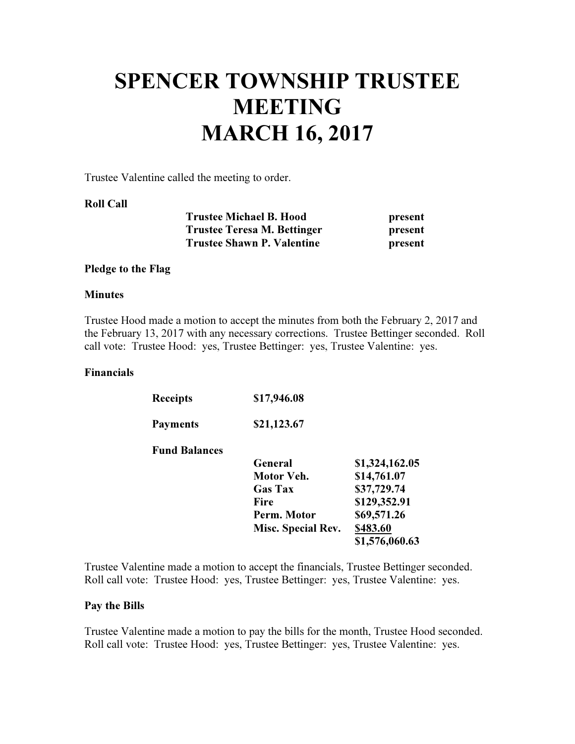# SPENCER TOWNSHIP TRUSTEE **MEETING** MARCH 16, 2017

Trustee Valentine called the meeting to order.

#### Roll Call

| <b>Trustee Michael B. Hood</b>     | present |
|------------------------------------|---------|
| <b>Trustee Teresa M. Bettinger</b> | present |
| <b>Trustee Shawn P. Valentine</b>  | present |

#### Pledge to the Flag

#### **Minutes**

Trustee Hood made a motion to accept the minutes from both the February 2, 2017 and the February 13, 2017 with any necessary corrections. Trustee Bettinger seconded. Roll call vote: Trustee Hood: yes, Trustee Bettinger: yes, Trustee Valentine: yes.

#### Financials

| <b>Receipts</b>      | \$17,946.08        |                |
|----------------------|--------------------|----------------|
| <b>Payments</b>      | \$21,123.67        |                |
| <b>Fund Balances</b> |                    |                |
|                      | General            | \$1,324,162.05 |
|                      | Motor Veh.         | \$14,761.07    |
|                      | <b>Gas Tax</b>     | \$37,729.74    |
|                      | Fire               | \$129,352.91   |
|                      | Perm. Motor        | \$69,571.26    |
|                      | Misc. Special Rev. | \$483.60       |
|                      |                    | \$1,576,060.63 |

Trustee Valentine made a motion to accept the financials, Trustee Bettinger seconded. Roll call vote: Trustee Hood: yes, Trustee Bettinger: yes, Trustee Valentine: yes.

#### Pay the Bills

Trustee Valentine made a motion to pay the bills for the month, Trustee Hood seconded. Roll call vote: Trustee Hood: yes, Trustee Bettinger: yes, Trustee Valentine: yes.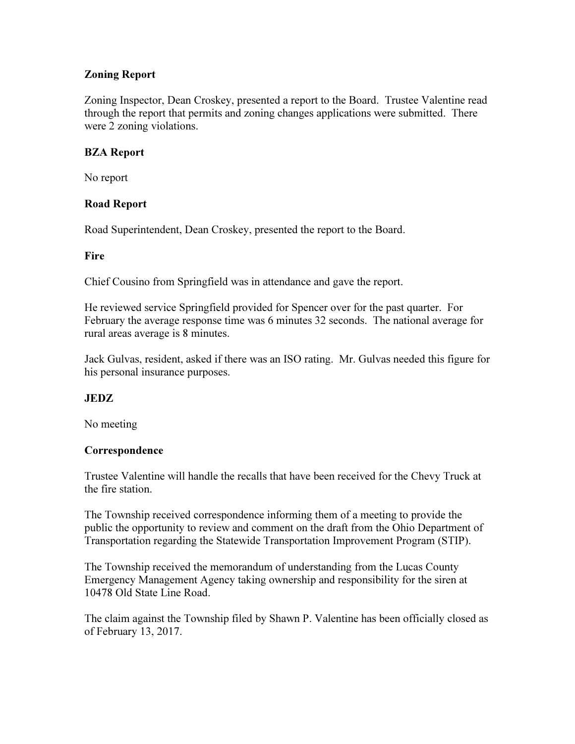## Zoning Report

Zoning Inspector, Dean Croskey, presented a report to the Board. Trustee Valentine read through the report that permits and zoning changes applications were submitted. There were 2 zoning violations.

## BZA Report

No report

## Road Report

Road Superintendent, Dean Croskey, presented the report to the Board.

## **Fire**

Chief Cousino from Springfield was in attendance and gave the report.

He reviewed service Springfield provided for Spencer over for the past quarter. For February the average response time was 6 minutes 32 seconds. The national average for rural areas average is 8 minutes.

Jack Gulvas, resident, asked if there was an ISO rating. Mr. Gulvas needed this figure for his personal insurance purposes.

# JEDZ

No meeting

# **Correspondence**

Trustee Valentine will handle the recalls that have been received for the Chevy Truck at the fire station.

The Township received correspondence informing them of a meeting to provide the public the opportunity to review and comment on the draft from the Ohio Department of Transportation regarding the Statewide Transportation Improvement Program (STIP).

The Township received the memorandum of understanding from the Lucas County Emergency Management Agency taking ownership and responsibility for the siren at 10478 Old State Line Road.

The claim against the Township filed by Shawn P. Valentine has been officially closed as of February 13, 2017.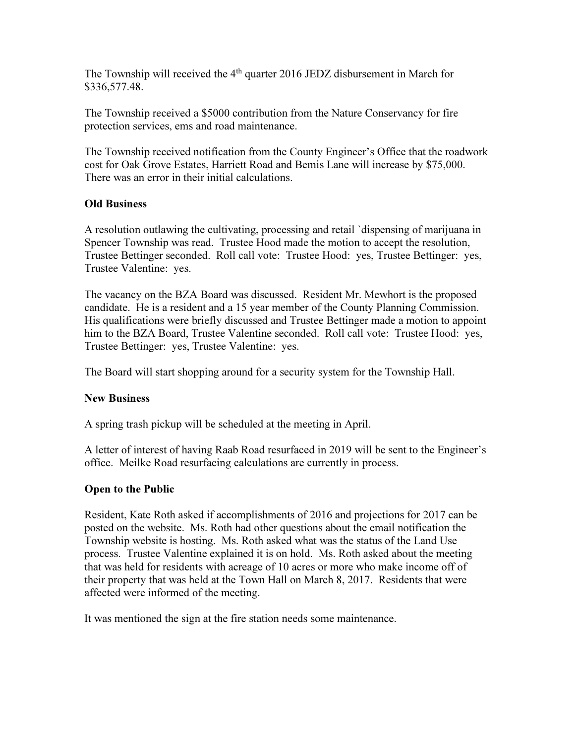The Township will received the  $4<sup>th</sup>$  quarter 2016 JEDZ disbursement in March for \$336,577.48.

The Township received a \$5000 contribution from the Nature Conservancy for fire protection services, ems and road maintenance.

The Township received notification from the County Engineer's Office that the roadwork cost for Oak Grove Estates, Harriett Road and Bemis Lane will increase by \$75,000. There was an error in their initial calculations.

## Old Business

A resolution outlawing the cultivating, processing and retail `dispensing of marijuana in Spencer Township was read. Trustee Hood made the motion to accept the resolution, Trustee Bettinger seconded. Roll call vote: Trustee Hood: yes, Trustee Bettinger: yes, Trustee Valentine: yes.

The vacancy on the BZA Board was discussed. Resident Mr. Mewhort is the proposed candidate. He is a resident and a 15 year member of the County Planning Commission. His qualifications were briefly discussed and Trustee Bettinger made a motion to appoint him to the BZA Board, Trustee Valentine seconded. Roll call vote: Trustee Hood: yes, Trustee Bettinger: yes, Trustee Valentine: yes.

The Board will start shopping around for a security system for the Township Hall.

### New Business

A spring trash pickup will be scheduled at the meeting in April.

A letter of interest of having Raab Road resurfaced in 2019 will be sent to the Engineer's office. Meilke Road resurfacing calculations are currently in process.

### Open to the Public

Resident, Kate Roth asked if accomplishments of 2016 and projections for 2017 can be posted on the website. Ms. Roth had other questions about the email notification the Township website is hosting. Ms. Roth asked what was the status of the Land Use process. Trustee Valentine explained it is on hold. Ms. Roth asked about the meeting that was held for residents with acreage of 10 acres or more who make income off of their property that was held at the Town Hall on March 8, 2017. Residents that were affected were informed of the meeting.

It was mentioned the sign at the fire station needs some maintenance.